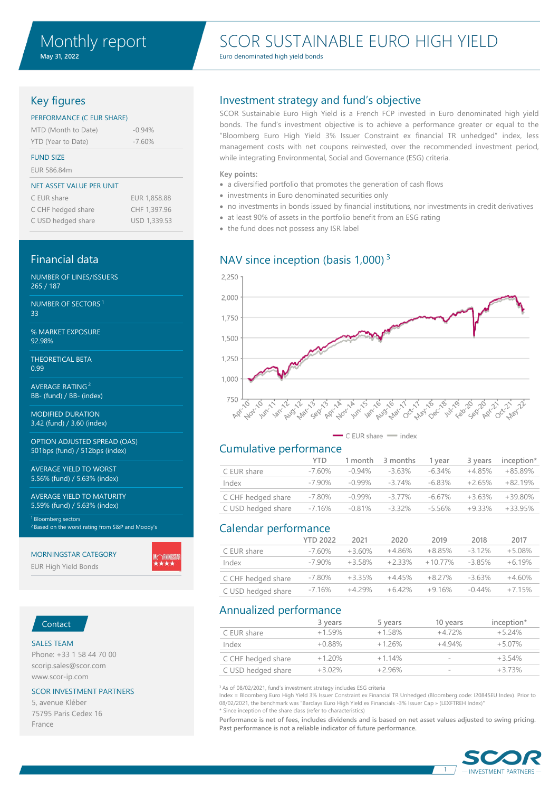# SCOR SUSTAINABLE EURO HIGH YIELD

Euro denominated high yield bonds

## Key figures

#### PERFORMANCE (C EUR SHARE)

| MTD (Month to Date) | $-0.94\%$ |
|---------------------|-----------|
| YTD (Year to Date)  | $-7.60%$  |

#### FUND SIZE

EUR 586.84m

#### NET ASSET VALUE PER UNIT

| C EUR share        | EUR 1.858.88 |
|--------------------|--------------|
| C CHF hedged share | CHF 1,397.96 |
| C USD hedged share | USD 1,339.53 |

## Financial data

NUMBER OF LINES/ISSUERS 265 / 187

NUMBER OF SECTORS <sup>1</sup> 33

% MARKET EXPOSURE 92.98%

THEORETICAL BETA 0.99

AVERAGE RATING <sup>2</sup> BB- (fund) / BB- (index)

MODIFIED DURATION 3.42 (fund) / 3.60 (index)

OPTION ADJUSTED SPREAD (OAS) 501bps (fund) / 512bps (index)

AVERAGE YIELD TO WORST 5.56% (fund) / 5.63% (index)

AVERAGE YIELD TO MATURITY 5.59% (fund) / 5.63% (index)

<sup>1</sup> Bloomberg sectors <sup>2</sup> Based on the worst rating from S&P and Moody's

#### MORNINGSTAR CATEGORY

EUR High Yield Bonds

# Contact

### SALES TEAM

Phone: +33 1 58 44 70 00 scorip.sales@scor.com www.scor-ip.com

#### SCOR INVESTMENT PARTNERS

5, avenue Kléber 75795 Paris Cedex 16 France

### Investment strategy and fund's objective

SCOR Sustainable Euro High Yield is a French FCP invested in Euro denominated high yield bonds. The fund's investment objective is to achieve a performance greater or equal to the "Bloomberg Euro High Yield 3% Issuer Constraint ex financial TR unhedged" index, less management costs with net coupons reinvested, over the recommended investment period, while integrating Environmental, Social and Governance (ESG) criteria.

#### **Key points:**

- a diversified portfolio that promotes the generation of cash flows
- investments in Euro denominated securities only
- no investments in bonds issued by financial institutions, nor investments in credit derivatives
- at least 90% of assets in the portfolio benefit from an ESG rating
- the fund does not possess any ISR label

### NAV since inception (basis  $1,000$ )<sup>3</sup>



 $\leftarrow$  C EUR share  $-$  index

### Cumulative performance

|                    | YTD.      | 1 month   | 3 months  | 1 vear    | 3 vears  | inception* |
|--------------------|-----------|-----------|-----------|-----------|----------|------------|
| C EUR share        | $-7.60\%$ | $-0.94\%$ | $-3.63\%$ | -6.34%    | $+485%$  | $+85.89%$  |
| Index              | $-790%$   | $-0.99\%$ | $-374%$   | $-6.83\%$ | $+265%$  | $+8219%$   |
| C CHF hedged share | $-7.80\%$ | $-0.99\%$ | $-3.77\%$ | $-6.67\%$ | $+363%$  | $+39.80%$  |
| C USD hedged share | $-716%$   | $-0.81%$  | $-3.32\%$ | $-5.56\%$ | $+9.33%$ | $+3395%$   |

### Calendar performance

|                    | <b>YTD 2022</b> | 2021      | 2020      | 2019       | 2018      | 2017     |
|--------------------|-----------------|-----------|-----------|------------|-----------|----------|
| C EUR share        | $-760%$         | $+360%$   | $+4.86\%$ | $+8.85\%$  | $-312%$   | $+5.08%$ |
| Index              | $-790\%$        | $+3.58\%$ | $+2.33\%$ | $+10.77\%$ | $-385%$   | $+619%$  |
| C CHF hedged share | $-7.80\%$       | $+3.35\%$ | $+4.45\%$ | $+8.27\%$  | $-363%$   | $+4.60%$ |
| C USD hedged share | $-716%$         | $+429%$   | $+6.42%$  | $+916%$    | $-0.44\%$ | $+715%$  |

## Annualized performance

|                    | 3 years   | 5 years  | 10 years       | inception* |
|--------------------|-----------|----------|----------------|------------|
| C EUR share        | $+1.59%$  | $+1.58%$ | $+472%$        | $+524%$    |
| Index              | $+0.88\%$ | $+126%$  | $+494%$        | $+5.07\%$  |
| C CHF hedged share | $+120%$   | $+114%$  | $\sim$         | $+3.54%$   |
| C USD hedged share | $+3.02%$  | $+296%$  | <b>Section</b> | $+373%$    |

<sup>3</sup> As of 08/02/2021, fund's investment strategy includes ESG criteria

Index = Bloomberg Euro High Yield 3% Issuer Constraint ex Financial TR Unhedged (Bloomberg code: I20845EU Index). Prior to 08/02/2021, the benchmark was "Barclays Euro High Yield ex Financials -3% Issuer Cap » (LEXFTREH Index)" \* Since inception of the share class (refer to characteristics)

**Performance is net of fees, includes dividends and is based on net asset values adjusted to swing pricing. Past performance is not a reliable indicator of future performance.**

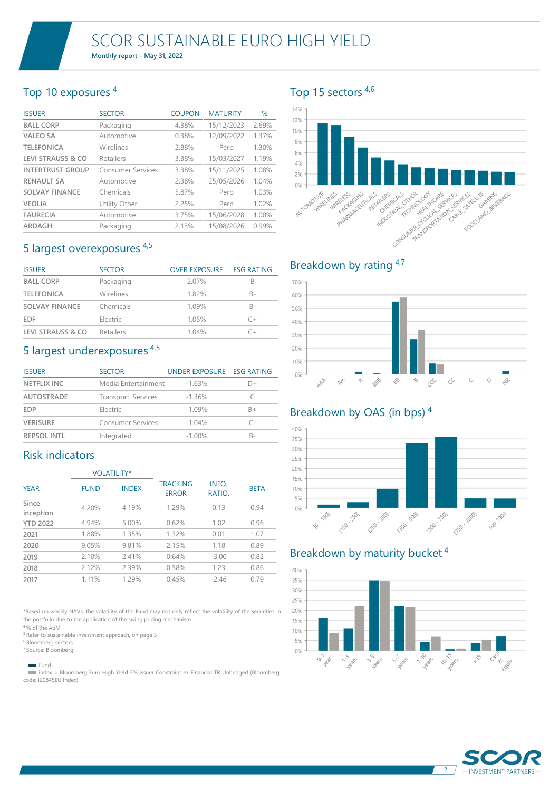# Top 10 exposures <sup>4</sup>

| <b>ISSUER</b>                | <b>SECTOR</b>            | <b>COUPON</b> | <b>MATURITY</b> | %     |
|------------------------------|--------------------------|---------------|-----------------|-------|
| <b>BALL CORP</b>             | Packaging                | 4.38%         | 15/12/2023      | 2.69% |
| <b>VALEO SA</b>              | Automotive               | 0.38%         | 12/09/2022      | 1.37% |
| <b>TELEFONICA</b>            | Wirelines                | 2.88%         | Perp            | 1.30% |
| <b>LEVI STRAUSS &amp; CO</b> | Retailers                | 3.38%         | 15/03/2027      | 1.19% |
| <b>INTERTRUST GROUP</b>      | <b>Consumer Services</b> | 3.38%         | 15/11/2025      | 1.08% |
| <b>RENAULT SA</b>            | Automotive               | 2.38%         | 25/05/2026      | 1.04% |
| <b>SOLVAY FINANCE</b>        | Chemicals                | 5.87%         | Perp            | 1.03% |
| <b>VEOLIA</b>                | Utility Other            | 2.25%         | Perp            | 1.02% |
| <b>FAURECIA</b>              | Automotive               | 3.75%         | 15/06/2028      | 1.00% |
| ARDAGH                       | Packaging                | 2.13%         | 15/08/2026      | 0.99% |

# 5 largest overexposures 4,5

| <b>ISSUER</b>                | <b>SECTOR</b>    | <b>OVER EXPOSURE</b> | <b>ESG RATING</b> |
|------------------------------|------------------|----------------------|-------------------|
| <b>BALL CORP</b>             | Packaging        | 2.07%                | В                 |
| <b>TELEFONICA</b>            | Wirelines        | 182%                 | B-                |
| <b>SOLVAY FINANCE</b>        | Chemicals        | 1 09%                | B-                |
| <b>EDF</b>                   | Electric         | 105%                 | $($ $+$           |
| <b>LEVI STRAUSS &amp; CO</b> | <b>Retailers</b> | 104%                 | -                 |

# 5 largest underexposures 4,5

| <b>ISSUER</b>      | <b>SECTOR</b>            | UNDER EXPOSURE ESG RATING |          |
|--------------------|--------------------------|---------------------------|----------|
| <b>NETFLIX INC</b> | Media Entertainment      | $-1.63%$                  | $\Box +$ |
| <b>AUTOSTRADE</b>  | Transport. Services      | $-1.36\%$                 |          |
| <b>EDP</b>         | Electric                 | $-1.09%$                  | $B+$     |
| <b>VERISURE</b>    | <b>Consumer Services</b> | $-1.04\%$                 | г.       |
| <b>REPSOL INTL</b> | Integrated               | $-1.00\%$                 | R-       |

# Risk indicators

|                    |             | <b>VOLATILITY*</b> |                                 |                 |             |
|--------------------|-------------|--------------------|---------------------------------|-----------------|-------------|
| <b>YEAR</b>        | <b>FUND</b> | <b>INDEX</b>       | <b>TRACKING</b><br><b>ERROR</b> | INFO.<br>RATIO. | <b>BETA</b> |
| Since<br>inception | 4.20%       | 4.19%              | 1.29%                           | 0.13            | 0.94        |
| <b>YTD 2022</b>    | 4.94%       | 5.00%              | 0.62%                           | 1.02            | 0.96        |
| 2021               | 1.88%       | 1.35%              | 1.32%                           | 0.01            | 1.07        |
| 2020               | 9.05%       | 9.81%              | 2.15%                           | 1.18            | 0.89        |
| 2019               | 2.10%       | 2.41%              | 0.64%                           | $-3.00$         | 0.82        |
| 2018               | 2.12%       | 2.39%              | 0.58%                           | 1.23            | 0.86        |
| 2017               | 1.11%       | 1.29%              | 0.45%                           | $-2.46$         | 0.79        |

\*Based on weekly NAVs, the volatility of the Fund may not only reflect the volatility of the securities in the portfolio due to the application of the swing pricing mechanism.

<sup>4</sup>% of the AuM

<sup>5</sup> Refer to sustainable investment approach, on page 3

<sup>6</sup> Bloomberg sectors

<sup>7</sup> Source: Bloomberg

Fund

 index = Bloomberg Euro High Yield 3% Issuer Constraint ex Financial TR Unhedged (Bloomberg code: I20845EU Index)

# Top 15 sectors 4,6

#### 14% 12%  $10%$ 8% 6% 4% 2%  $0\%$ Consultant Report of Consultant Consultant Consultant Consultant Consultant Consultant Consultant Consultant C **AMERICAN AMERICAN STRATEGIC** Force AMelystere AUTOMOTIVE **MIRELINES LINES ROLL** PARTICUTE Chapter Company PHAREMAGNICALS **CALS WERE ANDUSTRIAL CONTROL**



# Breakdown by OAS (in bps) <sup>4</sup>

#### 40% 35% 30% 25% 20% 15% 10% 5% 1350 SOD Elize 1501 F500 7501  $0%$ 1150-2501 T50 - 1000 10-1501 Sup 1000

# Breakdown by maturity bucket <sup>4</sup>



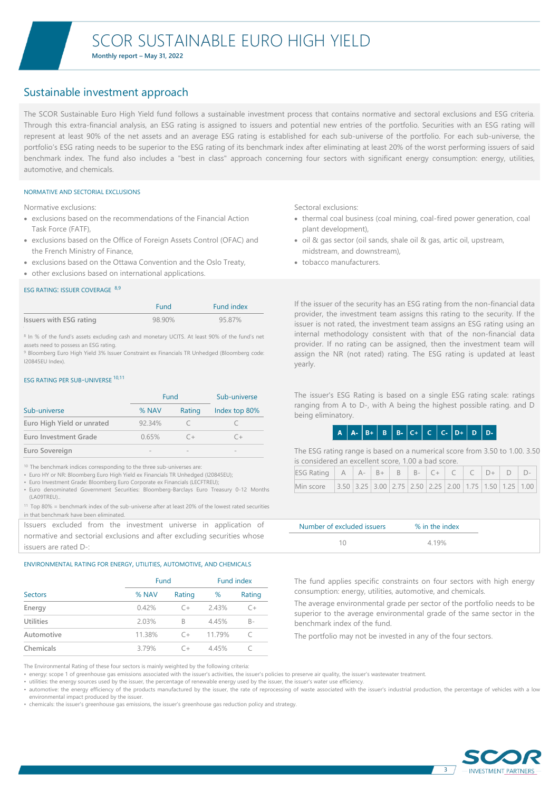**Monthly report – May 31, 2022**

# Sustainable investment approach

The SCOR Sustainable Euro High Yield fund follows a sustainable investment process that contains normative and sectoral exclusions and ESG criteria. Through this extra-financial analysis, an ESG rating is assigned to issuers and potential new entries of the portfolio. Securities with an ESG rating will represent at least 90% of the net assets and an average ESG rating is established for each sub-universe of the portfolio. For each sub-universe, the portfolio's ESG rating needs to be superior to the ESG rating of its benchmark index after eliminating at least 20% of the worst performing issuers of said benchmark index. The fund also includes a "best in class" approach concerning four sectors with significant energy consumption: energy, utilities, automotive, and chemicals.

#### NORMATIVE AND SECTORIAL EXCLUSIONS

Normative exclusions:

- exclusions based on the recommendations of the Financial Action Task Force (FATF),
- exclusions based on the Office of Foreign Assets Control (OFAC) and the French Ministry of Finance,
- exclusions based on the Ottawa Convention and the Oslo Treaty,
- other exclusions based on international applications.

#### ESG RATING: ISSUER COVERAGE 8,9

|                         | <b>Fund</b> | Fund index |
|-------------------------|-------------|------------|
| Issuers with ESG rating | 98.90%      | 95.87%     |

<sup>8</sup> In % of the fund's assets excluding cash and monetary UCITS. At least 90% of the fund's net assets need to possess an ESG rating.

<sup>9</sup> Bloomberg Euro High Yield 3% Issuer Constraint ex Financials TR Unhedged (Bloomberg code: I20845EU Index).

#### ESG RATING PER SUB-UNIVERSE 10,11

|                            | <b>Fund</b> | Sub-universe |               |
|----------------------------|-------------|--------------|---------------|
| Sub-universe               | % NAV       | Rating       | Index top 80% |
| Euro High Yield or unrated | 92.34%      |              |               |
| Euro Investment Grade      | 0.65%       |              |               |
| Euro Sovereign             |             |              |               |

<sup>10</sup> The benchmark indices corresponding to the three sub-universes are:

- Euro HY or NR: Bloomberg Euro High Yield ex Financials TR Unhedged (I20845EU);
- Euro Investment Grade: Bloomberg Euro Corporate ex Financials (LECFTREU); • Euro denominated Government Securities: Bloomberg-Barclays Euro Treasury 0-12 Months (LA09TREU)..
- <sup>11</sup> Top 80% = benchmark index of the sub-universe after at least 20% of the lowest rated securities in that benchmark have been eliminated.

Issuers excluded from the investment universe in application of normative and sectorial exclusions and after excluding securities whose issuers are rated D-:

#### ENVIRONMENTAL RATING FOR ENERGY, UTILITIES, AUTOMOTIVE, AND CHEMICALS

|                  |        | Fund   |       | <b>Fund index</b> |
|------------------|--------|--------|-------|-------------------|
| Sectors          | % NAV  | Rating | %     | Rating            |
| Energy           | 0.42%  | $C +$  | 243%  | $C +$             |
| <b>Utilities</b> | 2.03%  | B      | 4.45% | $B -$             |
| Automotive       | 11.38% | $C +$  | 1179% |                   |
| Chemicals        | 3.79%  | $C +$  | 445%  |                   |

The Environmental Rating of these four sectors is mainly weighted by the following criteria:

• energy: scope 1 of greenhouse gas emissions associated with the issuer's activities, the issuer's policies to preserve air quality, the issuer's wastewater treatment.

• utilities: the energy sources used by the issuer, the percentage of renewable energy used by the issuer, the issuer's water use efficiency.

• automotive: the energy efficiency of the products manufactured by the issuer, the rate of reprocessing of waste associated with the issuer's industrial production, the percentage of vehicles with a low environmental impact produced by the issuer.

• chemicals: the issuer's greenhouse gas emissions, the issuer's greenhouse gas reduction policy and strategy.

Sectoral exclusions:

- thermal coal business (coal mining, coal-fired power generation, coal plant development),
- oil & gas sector (oil sands, shale oil & gas, artic oil, upstream, midstream, and downstream),
- tobacco manufacturers.

If the issuer of the security has an ESG rating from the non-financial data provider, the investment team assigns this rating to the security. If the issuer is not rated, the investment team assigns an ESG rating using an internal methodology consistent with that of the non-financial data provider. If no rating can be assigned, then the investment team will assign the NR (not rated) rating. The ESG rating is updated at least yearly.

The issuer's ESG Rating is based on a single ESG rating scale: ratings ranging from A to D-, with A being the highest possible rating. and D being eliminatory.

## $A | A - B + B | B | B - C + C | C | C - D + D | D$

The ESG rating range is based on a numerical score from 3.50 to 1.00. 3.50 is considered an excellent score, 1.00 a bad score.

| Min score 3.50 3.25 3.00 2.75 2.50 2.25 2.00 1.75 1.50 1.25 1.00 |  |  |  |  |  |  |
|------------------------------------------------------------------|--|--|--|--|--|--|

| Number of excluded issuers | % in the index |
|----------------------------|----------------|
|                            | 4 19%          |

The fund applies specific constraints on four sectors with high energy consumption: energy, utilities, automotive, and chemicals.

The average environmental grade per sector of the portfolio needs to be superior to the average environmental grade of the same sector in the benchmark index of the fund.

The portfolio may not be invested in any of the four sectors.



3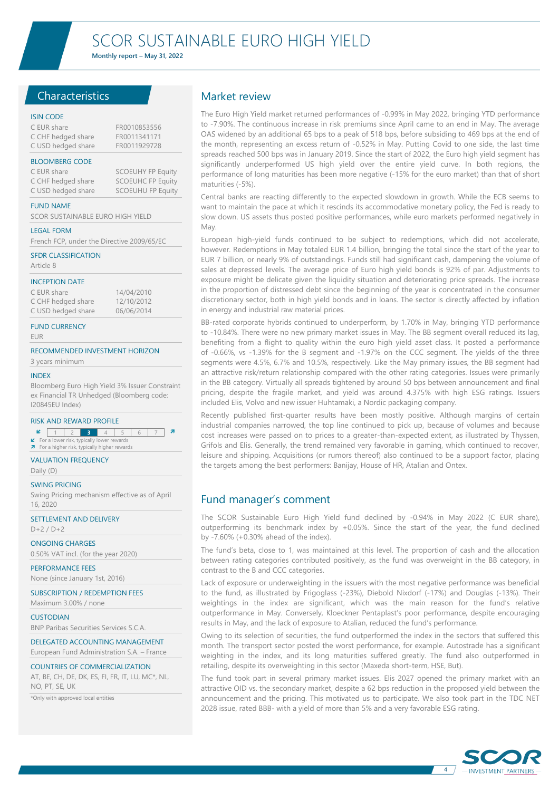**Monthly report – May 31, 2022**

### **Characteristics**

#### ISIN CODE

| C EUR share        | FR0010853556 |
|--------------------|--------------|
| C CHF hedged share | FR0011341171 |
| C USD hedged share | FR0011929728 |

#### BLOOMBERG CODE

| C EUR share        | <b>SCOEUHY FP Equity</b> |
|--------------------|--------------------------|
| C CHF hedged share | <b>SCOEUHC FP Equity</b> |
| C USD hedged share | <b>SCOEUHU FP Equity</b> |

FUND NAME

SCOR SUSTAINABLE EURO HIGH YIELD

#### LEGAL FORM

French FCP, under the Directive 2009/65/EC

#### SFDR CLASSIFICATION

Article 8

#### INCEPTION DATE

C EUR share 14/04/2010<br>C CHE hedged share 12/10/2012 C CHF hedged share C USD hedged share 06/06/2014

#### FUND CURRENCY

EUR

#### RECOMMENDED INVESTMENT HORIZON

3 years minimum

#### INDEX

Bloomberg Euro High Yield 3% Issuer Constraint ex Financial TR Unhedged (Bloomberg code: I20845EU Index)

#### RISK AND REWARD PROFILE

**2** 1 2 3 4 5 6 7 7 er risk, typic **7** For a higher risk, typically higher rewards

#### VALUATION FREQUENCY

Daily (D)

#### SWING PRICING

Swing Pricing mechanism effective as of April 16, 2020

SETTLEMENT AND DELIVERY D+2 / D+2

ONGOING CHARGES

0.50% VAT incl. (for the year 2020) PERFORMANCE FEES

None (since January 1st, 2016)

SUBSCRIPTION / REDEMPTION FEES

Maximum 3.00% / none **CUSTODIAN** BNP Paribas Securities Services S.C.A.

DELEGATED ACCOUNTING MANAGEMENT

European Fund Administration S.A. – France

#### COUNTRIES OF COMMERCIALIZATION

AT, BE, CH, DE, DK, ES, FI, FR, IT, LU, MC\*, NL, NO, PT, SE, UK

\*Only with approved local entities

### Market review

The Euro High Yield market returned performances of -0.99% in May 2022, bringing YTD performance to -7.90%. The continuous increase in risk premiums since April came to an end in May. The average OAS widened by an additional 65 bps to a peak of 518 bps, before subsiding to 469 bps at the end of the month, representing an excess return of -0.52% in May. Putting Covid to one side, the last time spreads reached 500 bps was in January 2019. Since the start of 2022, the Euro high yield segment has significantly underperformed US high yield over the entire yield curve. In both regions, the performance of long maturities has been more negative (-15% for the euro market) than that of short maturities (-5%).

Central banks are reacting differently to the expected slowdown in growth. While the ECB seems to want to maintain the pace at which it rescinds its accommodative monetary policy, the Fed is ready to slow down. US assets thus posted positive performances, while euro markets performed negatively in May.

European high-yield funds continued to be subject to redemptions, which did not accelerate, however. Redemptions in May totaled EUR 1.4 billion, bringing the total since the start of the year to EUR 7 billion, or nearly 9% of outstandings. Funds still had significant cash, dampening the volume of sales at depressed levels. The average price of Euro high yield bonds is 92% of par. Adjustments to exposure might be delicate given the liquidity situation and deteriorating price spreads. The increase in the proportion of distressed debt since the beginning of the year is concentrated in the consumer discretionary sector, both in high yield bonds and in loans. The sector is directly affected by inflation in energy and industrial raw material prices.

BB-rated corporate hybrids continued to underperform, by 1.70% in May, bringing YTD performance to -10.84%. There were no new primary market issues in May. The BB segment overall reduced its lag, benefiting from a flight to quality within the euro high yield asset class. It posted a performance of -0.66%, vs -1.39% for the B segment and -1.97% on the CCC segment. The yields of the three segments were 4.5%, 6.7% and 10.5%, respectively. Like the May primary issues, the BB segment had an attractive risk/return relationship compared with the other rating categories. Issues were primarily in the BB category. Virtually all spreads tightened by around 50 bps between announcement and final pricing, despite the fragile market, and yield was around 4.375% with high ESG ratings. Issuers included Elis, Volvo and new issuer Huhtamaki, a Nordic packaging company.

Recently published first-quarter results have been mostly positive. Although margins of certain industrial companies narrowed, the top line continued to pick up, because of volumes and because cost increases were passed on to prices to a greater-than-expected extent, as illustrated by Thyssen, Grifols and Elis. Generally, the trend remained very favorable in gaming, which continued to recover, leisure and shipping. Acquisitions (or rumors thereof) also continued to be a support factor, placing the targets among the best performers: Banijay, House of HR, Atalian and Ontex.

## Fund manager's comment

The SCOR Sustainable Euro High Yield fund declined by -0.94% in May 2022 (C EUR share), outperforming its benchmark index by +0.05%. Since the start of the year, the fund declined by -7.60% (+0.30% ahead of the index).

The fund's beta, close to 1, was maintained at this level. The proportion of cash and the allocation between rating categories contributed positively, as the fund was overweight in the BB category, in contrast to the B and CCC categories.

Lack of exposure or underweighting in the issuers with the most negative performance was beneficial to the fund, as illustrated by Frigoglass (-23%), Diebold Nixdorf (-17%) and Douglas (-13%). Their weightings in the index are significant, which was the main reason for the fund's relative outperformance in May. Conversely, Kloeckner Pentaplast's poor performance, despite encouraging results in May, and the lack of exposure to Atalian, reduced the fund's performance.

Owing to its selection of securities, the fund outperformed the index in the sectors that suffered this month. The transport sector posted the worst performance, for example. Autostrade has a significant weighting in the index, and its long maturities suffered greatly. The fund also outperformed in retailing, despite its overweighting in this sector (Maxeda short-term, HSE, But).

The fund took part in several primary market issues. Elis 2027 opened the primary market with an attractive OID vs. the secondary market, despite a 62 bps reduction in the proposed yield between the announcement and the pricing. This motivated us to participate. We also took part in the TDC NET 2028 issue, rated BBB- with a yield of more than 5% and a very favorable ESG rating.

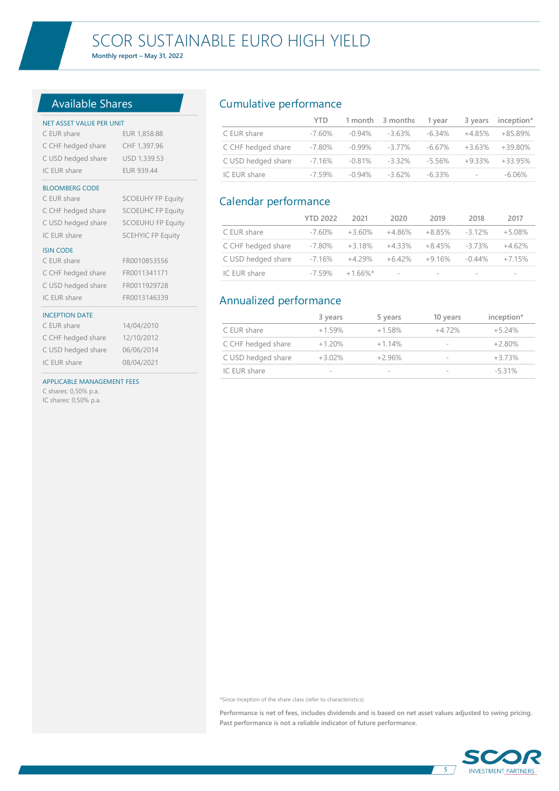**Monthly report – May 31, 2022**

# Available Shares

## NET ASSET VALUE PER UNIT C EUR share EUR 1,858.88 C CHF hedged share CHF 1,397.96 C USD hedged share USD 1,339.53 IC EUR share EUR 939.44 BLOOMBERG CODE C EUR share SCOEUHY FP Equity C CHF hedged share SCOEUHC FP Equity C USD hedged share SCOEUHU FP Equity IC EUR share SCEHYIC FP Equity ISIN CODE C EUR share FR0010853556 C CHF hedged share FR0011341171 C USD hedged share FR0011929728 IC EUR share FR0013146339 INCEPTION DATE C EUR share 14/04/2010 C CHF hedged share 12/10/2012 C USD hedged share 06/06/2014 IC EUR share 08/04/2021 APPLICABLE MANAGEMENT FEES C shares: 0,50% p.a.

IC shares: 0,50% p.a.

# Cumulative performance

|                    | YTD.    |           | 1 month 3 months | 1 vear |                          | 3 years inception* |
|--------------------|---------|-----------|------------------|--------|--------------------------|--------------------|
| C EUR share        | -7.60%  | -0.94%    | -3.63%           | -6.34% | $+4.85\%$                | +85.89%            |
| C CHF hedged share | -7.80%  | -0.99%    | -3.77%           | -6.67% | $+3.63\%$                | $+39.80\%$         |
| C USD hedged share | -7.16%  | -0.81%    | -3.32%           | -5.56% | $+9.33\%$                | $+33.95%$          |
| IC EUR share       | $-759%$ | $-0.94\%$ | -3.62%           | -6.33% | $\overline{\phantom{a}}$ | $-6.06\%$          |

# Calendar performance

|                    | <b>YTD 2022</b> | 2021       | 2020                     | 2019     | 2018      | 2017     |
|--------------------|-----------------|------------|--------------------------|----------|-----------|----------|
| C EUR share        | -7 60%          | $+3.60\%$  | +4.86%                   | +8.85%   | $-312\%$  | $+5.08%$ |
| C CHF hedged share | -7.80%          | +3.18%     | +4.33%                   | $+8.45%$ | -3 73%    | $+462%$  |
| C USD hedged share | -7.16%          | $+4.29\%$  | $+6.42\%$                | $+9.16%$ | $-0.44\%$ | $+7.15%$ |
| IC EUR share       | $-7.59\%$       | $+166\%$ * | $\overline{\phantom{a}}$ | $\sim$   | $\sim$    |          |

# Annualized performance

|                    | 3 years  | 5 years  | 10 years       | inception* |
|--------------------|----------|----------|----------------|------------|
| C EUR share        | $+1.59%$ | $+1.58%$ | $+472%$        | $+5.24\%$  |
| C CHF hedged share | $+120%$  | $+114%$  | $\sim$         | $+2.80%$   |
| C USD hedged share | $+3.02%$ | $+296%$  | <b>Section</b> | $+3.73%$   |
| IC EUR share       | $\sim$   | $\sim$   | <b>Section</b> | $-5.31%$   |

\*Since inception of the share class (refer to characteristics)

| Performance is net of fees, includes dividends and is based on net asset values adjusted to swing pricing. |  |  |  |  |  |  |
|------------------------------------------------------------------------------------------------------------|--|--|--|--|--|--|
| Past performance is not a reliable indicator of future performance.                                        |  |  |  |  |  |  |